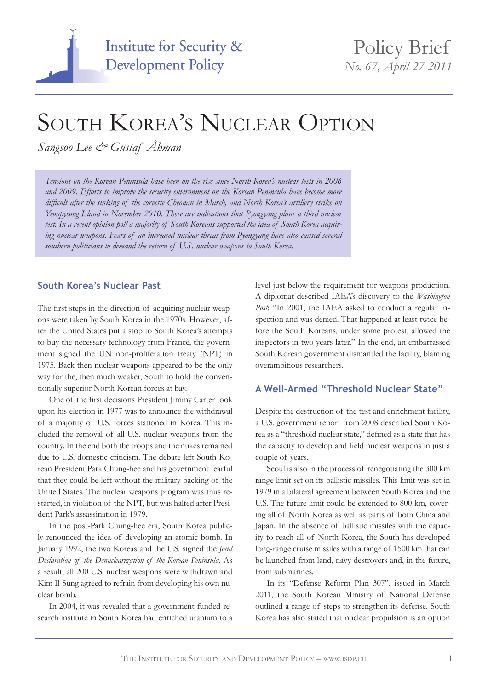

# SOUTH KOREA'S NUCLEAR OPTION

*Sangsoo Lee & Gustaf Åhman*

*Tensions on the Korean Peninsula have been on the rise since North Korea's nuclear tests in 2006 and 2009. Efforts to improve the security environment on the Korean Peninsula have become more difficult after the sinking of the corvette Cheonan in March, and North Korea's artillery strike on Yeonpyeong Island in November 2010. There are indications that Pyongyang plans a third nuclear test. In a recent opinion poll a majority of South Koreans supported the idea of South Korea acquiring nuclear weapons. Fears of an increased nuclear threat from Pyongyang have also caused several southern politicians to demand the return of U.S. nuclear weapons to South Korea.*

## **South Korea's Nuclear Past**

The first steps in the direction of acquiring nuclear weapons were taken by South Korea in the 1970s. However, after the United States put a stop to South Korea's attempts to buy the necessary technology from France, the government signed the UN non-proliferation treaty (NPT) in 1975. Back then nuclear weapons appeared to be the only way for the, then much weaker, South to hold the conventionally superior North Korean forces at bay.

One of the first decisions President Jimmy Carter took upon his election in 1977 was to announce the withdrawal of a majority of U.S. forces stationed in Korea. This included the removal of all U.S. nuclear weapons from the country. In the end both the troops and the nukes remained due to U.S. domestic criticism. The debate left South Korean President Park Chung-hee and his government fearful that they could be left without the military backing of the United States. The nuclear weapons program was thus restarted, in violation of the NPT, but was halted after President Park's assassination in 1979.

In the post-Park Chung-hee era, South Korea publicly renounced the idea of developing an atomic bomb. In January 1992, the two Koreas and the U.S. signed the *Joint Declaration of the Denuclearization of the Korean Peninsula*. As a result, all 200 U.S. nuclear weapons were withdrawn and Kim Il-Sung agreed to refrain from developing his own nuclear bomb.

In 2004, it was revealed that a government-funded research institute in South Korea had enriched uranium to a level just below the requirement for weapons production. A diplomat described IAEA's discovery to the *Washington Post*: "In 2001, the IAEA asked to conduct a regular inspection and was denied. That happened at least twice before the South Koreans, under some protest, allowed the inspectors in two years later." In the end, an embarrassed South Korean government dismantled the facility, blaming overambitious researchers.

## **A Well-Armed "Threshold Nuclear State"**

Despite the destruction of the test and enrichment facility, a U.S. government report from 2008 described South Korea as a "threshold nuclear state," defined as a state that has the capacity to develop and field nuclear weapons in just a couple of years.

Seoul is also in the process of renegotiating the 300 km range limit set on its ballistic missiles. This limit was set in 1979 in a bilateral agreement between South Korea and the U.S. The future limit could be extended to 800 km, covering all of North Korea as well as parts of both China and Japan. In the absence of ballistic missiles with the capacity to reach all of North Korea, the South has developed long-range cruise missiles with a range of 1500 km that can be launched from land, navy destroyers and, in the future, from submarines.

In its "Defense Reform Plan 307", issued in March 2011, the South Korean Ministry of National Defense outlined a range of steps to strengthen its defense. South Korea has also stated that nuclear propulsion is an option